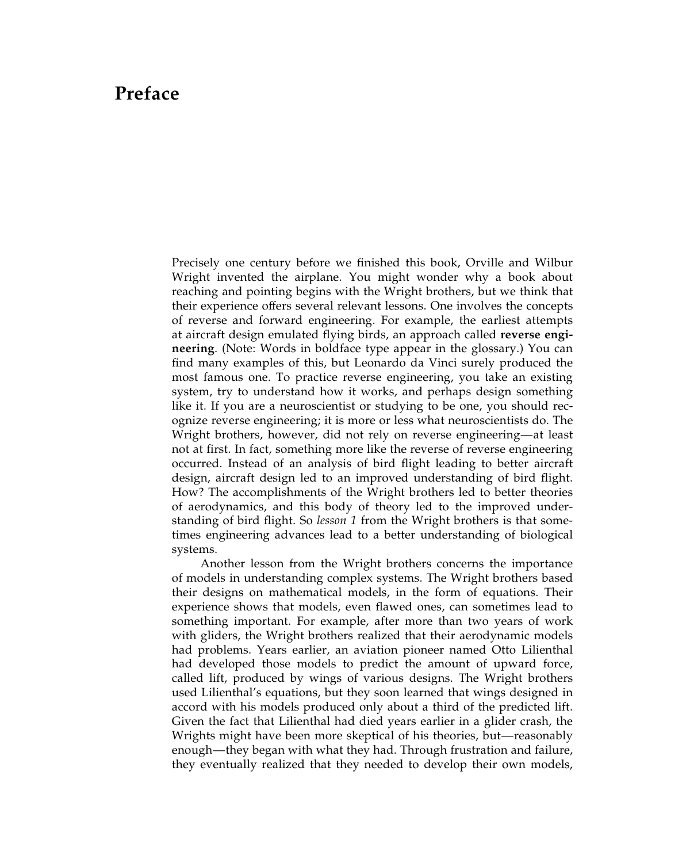## Preface

Precisely one century before we finished this book, Orville and Wilbur Wright invented the airplane. You might wonder why a book about reaching and pointing begins with the Wright brothers, but we think that [their experience offers several relevant lessons. One involves the concepts](#page--1-0) of reverse and forward engineering. For example, the earliest attempts at aircraft design emulated flying birds, an approach called reverse engineering. (Note: Words in boldface type appear in the glossary.) You can find many examples of this, but Leonardo da Vinci surely produced the most famous one. To practice reverse engineering, you take an existing system, try to understand how it works, and perhaps design something like it. If you are a neuroscientist or studying to be one, you should recognize reverse engineering; it is more or less what neuroscientists do. The Wright brothers, however, did not rely on reverse engineering—at least not at first. In fact, something more like the reverse of reverse engineering occurred. Instead of an analysis of bird flight leading to better aircraft design, aircraft design led to an improved understanding of bird flight. How? The accomplishments of the Wright brothers led to better theories of aerodynamics, and this body of theory led to the improved understanding of bird flight. So lesson 1 from the Wright brothers is that sometimes engineering advances lead to a better understanding of biological systems.

Another lesson from the Wright brothers concerns the importance of models in understanding complex systems. The Wright brothers based their designs on mathematical models, in the form of equations. Their experience shows that models, even flawed ones, can sometimes lead to something important. For example, after more than two years of work with gliders, the Wright brothers realized that their aerodynamic models had problems. Years earlier, an aviation pioneer named Otto Lilienthal had developed those models to predict the amount of upward force, called lift, produced by wings of various designs. The Wright brothers used Lilienthal's equations, but they soon learned that wings designed in accord with his models produced only about a third of the predicted lift. Given the fact that Lilienthal had died years earlier in a glider crash, the Wrights might have been more skeptical of his theories, but—reasonably enough—they began with what they had. Through frustration and failure, they eventually realized that they needed to develop their own models,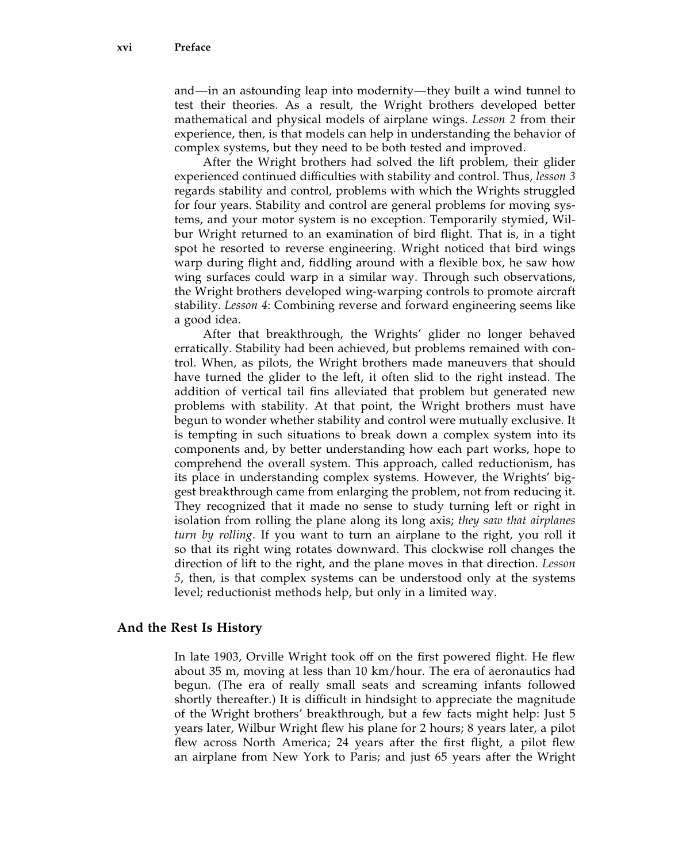and—in an astounding leap into modernity—they built a wind tunnel to test their theories. As a result, the Wright brothers developed better mathematical and physical models of airplane wings. Lesson 2 from their experience, then, is that models can help in understanding the behavior of complex systems, but they need to be both tested and improved.

After the Wright brothers had solved the lift problem, their glider experienced continued difficulties with stability and control. Thus, lesson 3 regards stability and control, problems with which the Wrights struggled for four years. Stability and control are general problems for moving systems, and your motor system is no exception. Temporarily stymied, Wilbur Wright returned to an examination of bird flight. That is, in a tight spot he resorted to reverse engineering. Wright noticed that bird wings warp during flight and, fiddling around with a flexible box, he saw how wing surfaces could warp in a similar way. Through such observations, the Wright brothers developed wing-warping controls to promote aircraft stability. Lesson 4: Combining reverse and forward engineering seems like a good idea.

After that breakthrough, the Wrights' glider no longer behaved erratically. Stability had been achieved, but problems remained with control. When, as pilots, the Wright brothers made maneuvers that should have turned the glider to the left, it often slid to the right instead. The addition of vertical tail fins alleviated that problem but generated new problems with stability. At that point, the Wright brothers must have begun to wonder whether stability and control were mutually exclusive. It is tempting in such situations to break down a complex system into its components and, by better understanding how each part works, hope to comprehend the overall system. This approach, called reductionism, has its place in understanding complex systems. However, the Wrights' biggest breakthrough came from enlarging the problem, not from reducing it. They recognized that it made no sense to study turning left or right in isolation from rolling the plane along its long axis; they saw that airplanes turn by rolling. If you want to turn an airplane to the right, you roll it so that its right wing rotates downward. This clockwise roll changes the direction of lift to the right, and the plane moves in that direction. Lesson 5, then, is that complex systems can be understood only at the systems level; reductionist methods help, but only in a limited way.

## And the Rest Is History

In late 1903, Orville Wright took off on the first powered flight. He flew about 35 m, moving at less than 10 km/hour. The era of aeronautics had begun. (The era of really small seats and screaming infants followed shortly thereafter.) It is difficult in hindsight to appreciate the magnitude of the Wright brothers' breakthrough, but a few facts might help: Just 5 years later, Wilbur Wright flew his plane for 2 hours; 8 years later, a pilot flew across North America; 24 years after the first flight, a pilot flew an airplane from New York to Paris; and just 65 years after the Wright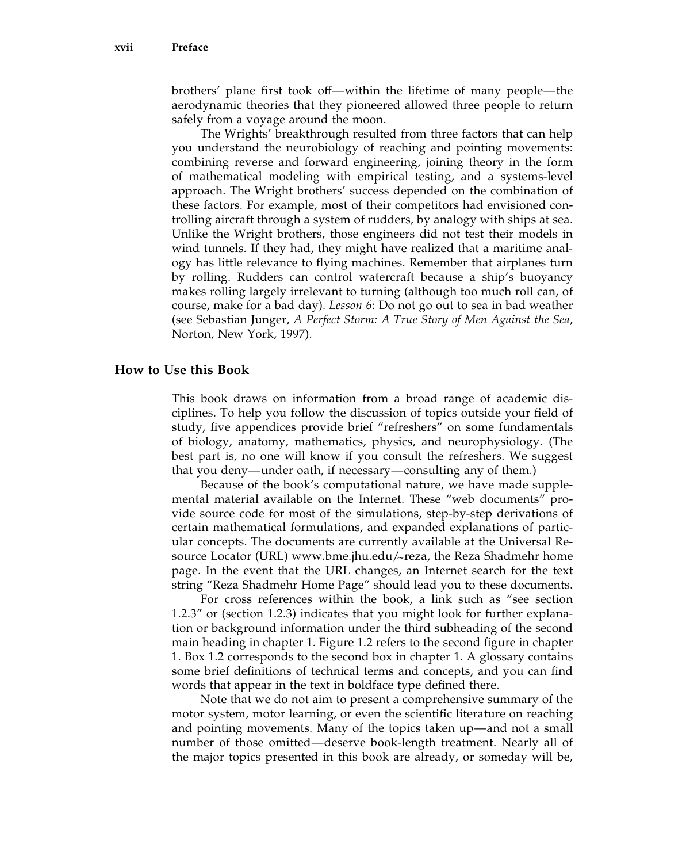brothers' plane first took off—within the lifetime of many people—the aerodynamic theories that they pioneered allowed three people to return safely from a voyage around the moon.

The Wrights' breakthrough resulted from three factors that can help you understand the neurobiology of reaching and pointing movements: combining reverse and forward engineering, joining theory in the form of mathematical modeling with empirical testing, and a systems-level approach. The Wright brothers' success depended on the combination of these factors. For example, most of their competitors had envisioned controlling aircraft through a system of rudders, by analogy with ships at sea. Unlike the Wright brothers, those engineers did not test their models in wind tunnels. If they had, they might have realized that a maritime analogy has little relevance to flying machines. Remember that airplanes turn by rolling. Rudders can control watercraft because a ship's buoyancy makes rolling largely irrelevant to turning (although too much roll can, of course, make for a bad day). Lesson 6: Do not go out to sea in bad weather (see Sebastian Junger, A Perfect Storm: A True Story of Men Against the Sea, Norton, New York, 1997).

## How to Use this Book

This book draws on information from a broad range of academic disciplines. To help you follow the discussion of topics outside your field of study, five appendices provide brief ''refreshers'' on some fundamentals of biology, anatomy, mathematics, physics, and neurophysiology. (The best part is, no one will know if you consult the refreshers. We suggest that you deny—under oath, if necessary—consulting any of them.)

Because of the book's computational nature, we have made supplemental material available on the Internet. These ''web documents'' provide source code for most of the simulations, step-by-step derivations of certain mathematical formulations, and expanded explanations of particular concepts. The documents are currently available at the Universal Resource Locator (URL) www.bme.jhu.edu/~reza, the Reza Shadmehr home page. In the event that the URL changes, an Internet search for the text string ''Reza Shadmehr Home Page'' should lead you to these documents.

For cross references within the book, a link such as ''see section 1.2.3'' or (section 1.2.3) indicates that you might look for further explanation or background information under the third subheading of the second main heading in chapter 1. Figure 1.2 refers to the second figure in chapter 1. Box 1.2 corresponds to the second box in chapter 1. A glossary contains some brief definitions of technical terms and concepts, and you can find words that appear in the text in boldface type defined there.

Note that we do not aim to present a comprehensive summary of the motor system, motor learning, or even the scientific literature on reaching and pointing movements. Many of the topics taken up—and not a small number of those omitted—deserve book-length treatment. Nearly all of the major topics presented in this book are already, or someday will be,